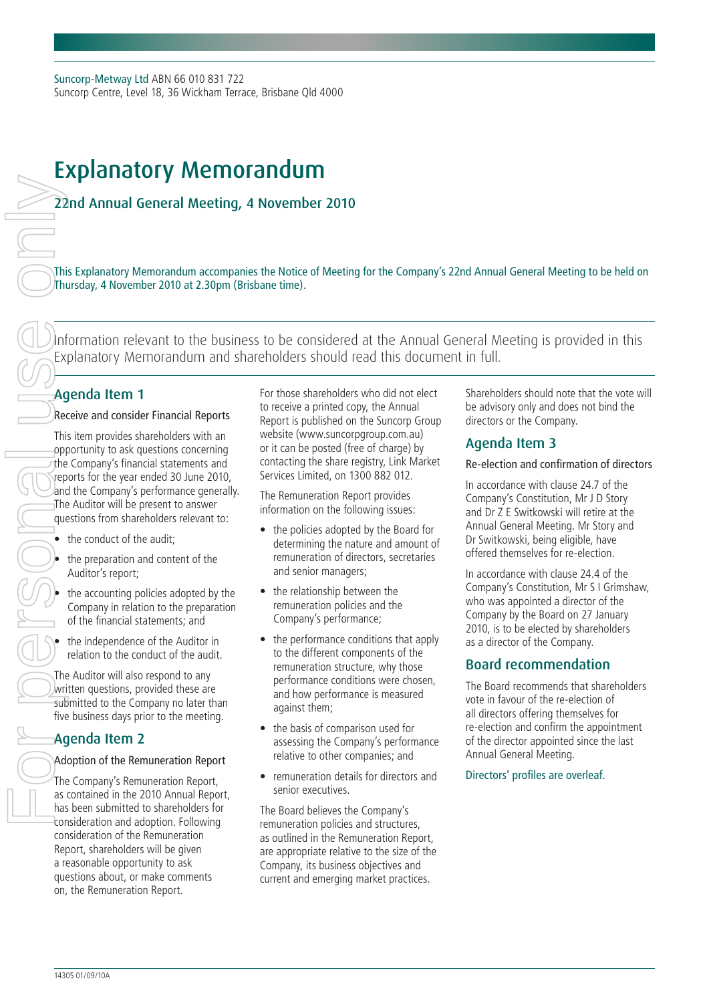# Explanatory Memorandum

## 22nd Annual General Meeting, 4 November 2010

This Explanatory Memorandum accompanies the Notice of Meeting for the Company's 22nd Annual General Meeting to be held on Thursday, 4 November 2010 at 2.30pm (Brisbane time).

Information relevant to the business to be considered at the Annual General Meeting is provided in this Explanatory Memorandum and shareholders should read this document in full.

# Agenda Item 1

## Receive and consider Financial Reports

This item provides shareholders with an opportunity to ask questions concerning the Company's financial statements and reports for the year ended 30 June 2010, and the Company's performance generally. The Auditor will be present to answer questions from shareholders relevant to:

the conduct of the audit;

the preparation and content of the Auditor's report;

the accounting policies adopted by the Company in relation to the preparation of the financial statements; and

the independence of the Auditor in relation to the conduct of the audit.

The Auditor will also respond to any written questions, provided these are submitted to the Company no later than five business days prior to the meeting.

## Agenda Item 2

## Adoption of the Remuneration Report

The Company's Remuneration Report, as contained in the 2010 Annual Report, has been submitted to shareholders for consideration and adoption. Following consideration of the Remuneration Report, shareholders will be given a reasonable opportunity to ask questions about, or make comments on, the Remuneration Report.

For those shareholders who did not elect to receive a printed copy, the Annual Report is published on the Suncorp Group website (www.suncorpgroup.com.au) or it can be posted (free of charge) by contacting the share registry, Link Market Services Limited, on 1300 882 012.

The Remuneration Report provides information on the following issues:

- the policies adopted by the Board for determining the nature and amount of remuneration of directors, secretaries and senior managers;
- the relationship between the remuneration policies and the Company's performance;
- the performance conditions that apply to the different components of the remuneration structure, why those performance conditions were chosen, and how performance is measured against them;
- the basis of comparison used for assessing the Company's performance relative to other companies; and
- remuneration details for directors and senior executives.

The Board believes the Company's remuneration policies and structures, as outlined in the Remuneration Report, are appropriate relative to the size of the Company, its business objectives and current and emerging market practices.

Shareholders should note that the vote will be advisory only and does not bind the directors or the Company.

## Agenda Item 3

Re-election and confirmation of directors

In accordance with clause 24.7 of the Company's Constitution, Mr J D Story and Dr Z E Switkowski will retire at the Annual General Meeting. Mr Story and Dr Switkowski, being eligible, have offered themselves for re-election.

In accordance with clause 24.4 of the Company's Constitution, Mr S I Grimshaw, who was appointed a director of the Company by the Board on 27 January 2010, is to be elected by shareholders as a director of the Company.

## Board recommendation

The Board recommends that shareholders vote in favour of the re-election of all directors offering themselves for re-election and confirm the appointment of the director appointed since the last Annual General Meeting.

#### Directors' profiles are overleaf.